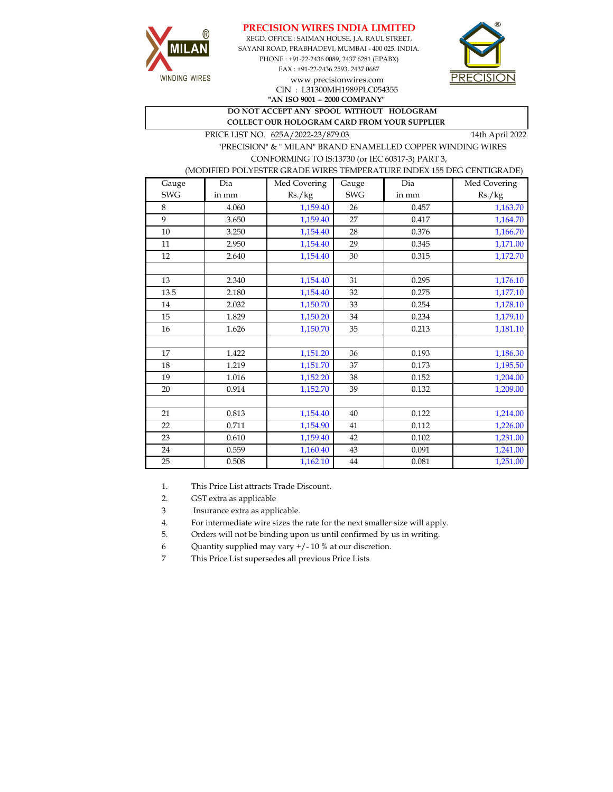





CIN : L31300MH1989PLC054355

**"AN ISO 9001 -- 2000 COMPANY"**

**DO NOT ACCEPT ANY SPOOL WITHOUT HOLOGRAM COLLECT OUR HOLOGRAM CARD FROM YOUR SUPPLIER** 

PRICE LIST NO.  $625A/2022-23/879.03$  14th April 2022

WINDING WIRES

 "PRECISION" & " MILAN" BRAND ENAMELLED COPPER WINDING WIRES CONFORMING TO IS:13730 (or IEC 60317-3) PART 3,

## (MODIFIED POLYESTER GRADE WIRES TEMPERATURE INDEX 155 DEG CENTIGRADE)

| Gauge      | Dia   | Med Covering | Gauge      | Dia   | Med Covering |
|------------|-------|--------------|------------|-------|--------------|
| <b>SWG</b> | in mm | Rs./kg       | <b>SWG</b> | in mm | Rs./kg       |
| 8          | 4.060 | 1,159.40     | 26         | 0.457 | 1,163.70     |
| 9          | 3.650 | 1,159.40     | 27         | 0.417 | 1,164.70     |
| 10         | 3.250 | 1,154.40     | 28         | 0.376 | 1,166.70     |
| 11         | 2.950 | 1,154.40     | 29         | 0.345 | 1,171.00     |
| 12         | 2.640 | 1,154.40     | 30         | 0.315 | 1,172.70     |
|            |       |              |            |       |              |
| 13         | 2.340 | 1,154.40     | 31         | 0.295 | 1,176.10     |
| 13.5       | 2.180 | 1,154.40     | 32         | 0.275 | 1,177.10     |
| 14         | 2.032 | 1,150.70     | 33         | 0.254 | 1,178.10     |
| 15         | 1.829 | 1,150.20     | 34         | 0.234 | 1,179.10     |
| 16         | 1.626 | 1,150.70     | 35         | 0.213 | 1,181.10     |
|            |       |              |            |       |              |
| 17         | 1.422 | 1,151.20     | 36         | 0.193 | 1,186.30     |
| 18         | 1.219 | 1,151.70     | 37         | 0.173 | 1,195.50     |
| 19         | 1.016 | 1,152.20     | 38         | 0.152 | 1,204.00     |
| 20         | 0.914 | 1,152.70     | 39         | 0.132 | 1,209.00     |
|            |       |              |            |       |              |
| 21         | 0.813 | 1,154.40     | 40         | 0.122 | 1,214.00     |
| 22         | 0.711 | 1,154.90     | 41         | 0.112 | 1,226.00     |
| 23         | 0.610 | 1,159.40     | 42         | 0.102 | 1,231.00     |
| 24         | 0.559 | 1,160.40     | 43         | 0.091 | 1,241.00     |
| 25         | 0.508 | 1,162.10     | 44         | 0.081 | 1,251.00     |

1. This Price List attracts Trade Discount.

2. GST extra as applicable

3 Insurance extra as applicable.

4. For intermediate wire sizes the rate for the next smaller size will apply.

5. Orders will not be binding upon us until confirmed by us in writing.

6 Quantity supplied may vary +/- 10 % at our discretion.

7 This Price List supersedes all previous Price Lists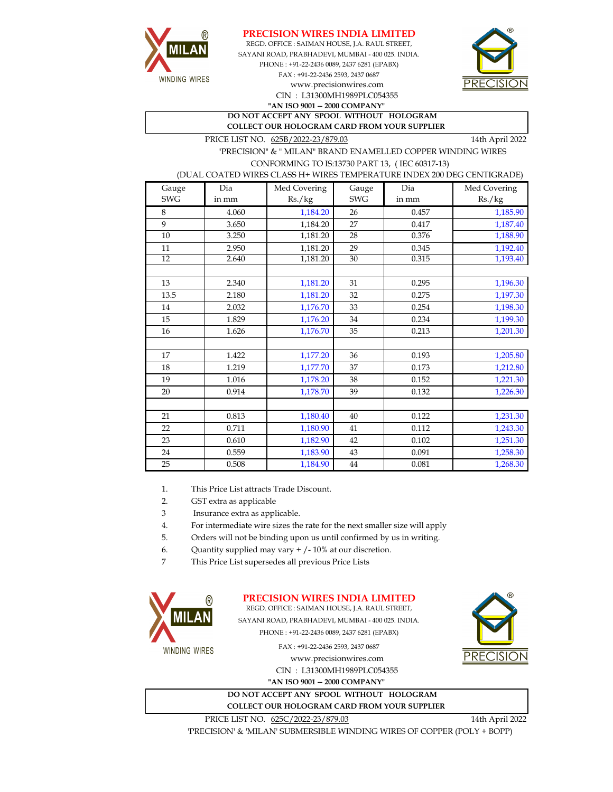



CIN : L31300MH1989PLC054355 SAYANI ROAD, PRABHADEVI, MUMBAI - 400 025. INDIA. PHONE : +91-22-2436 0089, 2437 6281 (EPABX) FAX : +91-22-2436 2593, 2437 0687 **"AN ISO 9001 -- 2000 COMPANY"** www.precisionwires.com REGD. OFFICE : SAIMAN HOUSE, J.A. RAUL STREET,



**DO NOT ACCEPT ANY SPOOL WITHOUT HOLOGRAM COLLECT OUR HOLOGRAM CARD FROM YOUR SUPPLIER** 

PRICE LIST NO. 625B/2022-23/879.03 14th April 2022

 "PRECISION" & " MILAN" BRAND ENAMELLED COPPER WINDING WIRES CONFORMING TO IS:13730 PART 13, ( IEC 60317-13)

(DUAL COATED WIRES CLASS H+ WIRES TEMPERATURE INDEX 200 DEG CENTIGRADE)

| Gauge           | Dia   | Med Covering | Gauge      | Dia   | Med Covering |
|-----------------|-------|--------------|------------|-------|--------------|
| <b>SWG</b>      | in mm | Rs./kg       | <b>SWG</b> | in mm | Rs./kg       |
| 8               | 4.060 | 1,184.20     | 26         | 0.457 | 1,185.90     |
| 9               | 3.650 | 1,184.20     | 27         | 0.417 | 1,187.40     |
| $10\,$          | 3.250 | 1,181.20     | 28         | 0.376 | 1,188.90     |
| 11              | 2.950 | 1,181.20     | 29         | 0.345 | 1,192.40     |
| $\overline{12}$ | 2.640 | 1,181.20     | 30         | 0.315 | 1,193.40     |
|                 |       |              |            |       |              |
| 13              | 2.340 | 1,181.20     | 31         | 0.295 | 1,196.30     |
| 13.5            | 2.180 | 1,181.20     | 32         | 0.275 | 1,197.30     |
| 14              | 2.032 | 1,176.70     | 33         | 0.254 | 1,198.30     |
| 15              | 1.829 | 1,176.20     | 34         | 0.234 | 1,199.30     |
| 16              | 1.626 | 1,176.70     | 35         | 0.213 | 1,201.30     |
|                 |       |              |            |       |              |
| 17              | 1.422 | 1,177.20     | 36         | 0.193 | 1,205.80     |
| 18              | 1.219 | 1,177.70     | 37         | 0.173 | 1,212.80     |
| 19              | 1.016 | 1,178.20     | 38         | 0.152 | 1,221.30     |
| 20              | 0.914 | 1,178.70     | 39         | 0.132 | 1,226.30     |
|                 |       |              |            |       |              |
| 21              | 0.813 | 1,180.40     | 40         | 0.122 | 1,231.30     |
| 22              | 0.711 | 1,180.90     | 41         | 0.112 | 1,243.30     |
| 23              | 0.610 | 1,182.90     | 42         | 0.102 | 1,251.30     |
| 24              | 0.559 | 1,183.90     | 43         | 0.091 | 1,258.30     |
| 25              | 0.508 | 1,184.90     | 44         | 0.081 | 1,268.30     |

1. This Price List attracts Trade Discount.

2. GST extra as applicable

3 Insurance extra as applicable.

4. For intermediate wire sizes the rate for the next smaller size will apply

5. Orders will not be binding upon us until confirmed by us in writing.

6. Quantity supplied may vary + /- 10% at our discretion.

7 This Price List supersedes all previous Price Lists



**PRECISION WIRES INDIA LIMITED**

REGD. OFFICE : SAIMAN HOUSE, J.A. RAUL STREET, SAYANI ROAD, PRABHADEVI, MUMBAI - 400 025. INDIA. PHONE : +91-22-2436 0089, 2437 6281 (EPABX)

FAX : +91-22-2436 2593, 2437 0687

www.precisionwires.com CIN : L31300MH1989PLC054355 **"AN ISO 9001 -- 2000 COMPANY"**

**DO NOT ACCEPT ANY SPOOL WITHOUT HOLOGRAM COLLECT OUR HOLOGRAM CARD FROM YOUR SUPPLIER** 



PRICE LIST NO. 625C/2022-23/879.03 14th April 2022

'PRECISION' & 'MILAN' SUBMERSIBLE WINDING WIRES OF COPPER (POLY + BOPP)